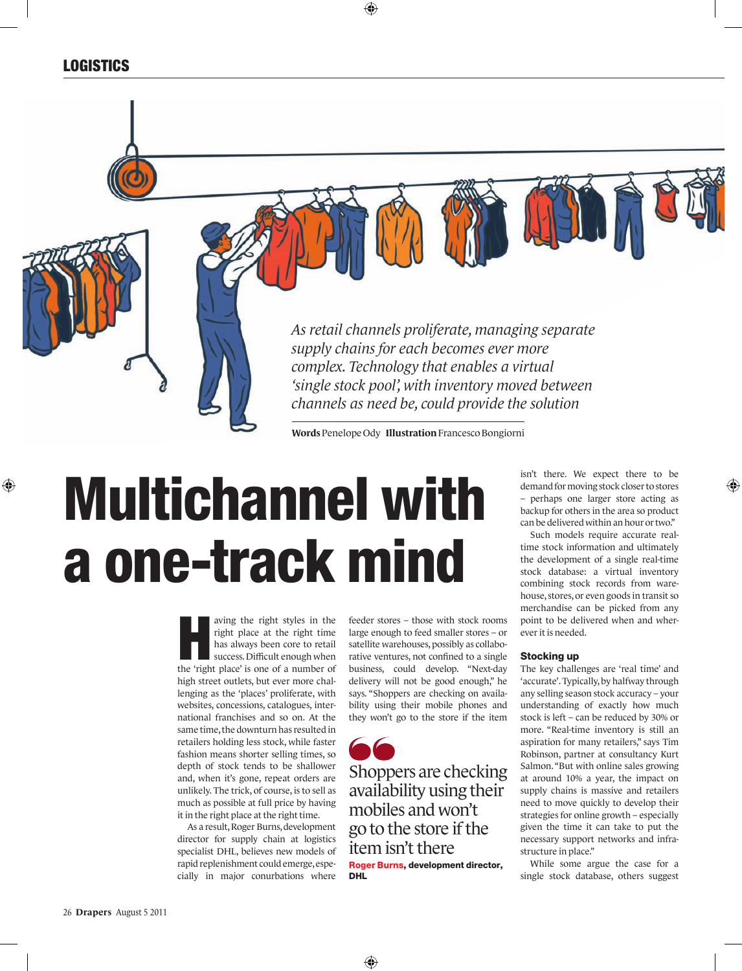### **LOGISTICS**

⊕

*As retail channels proliferate, managing separate supply chains for each becomes ever more complex. Technology that enables a virtual 'single stock pool', with inventory moved between channels as need be, could provide the solution*

**Words**Penelope Ody **Illustration** Francesco Bongiorni

⊕

# Multichannel with a one-track mind

aving the right styles in the<br>right place at the right time<br>has always been core to retail<br>success. Difficult enough when<br>the 'right place' is one of a number of right place at the right time has always been core to retail success. Difficult enough when the 'right place' is one of a number of high street outlets, but ever more challenging as the 'places' proliferate, with websites, concessions, catalogues, international franchises and so on. At the same time, the downturn has resulted in retailers holding less stock, while faster fashion means shorter selling times, so depth of stock tends to be shallower and, when it's gone, repeat orders are unlikely. The trick, of course, is to sell as much as possible at full price by having it in the right place at the right time.

As a result, Roger Burns, development director for supply chain at logistics specialist DHL, believes new models of rapid replenishment could emerge, especially in major conurbations where feeder stores – those with stock rooms large enough to feed smaller stores – or satellite warehouses, possibly as collaborative ventures, not confined to a single business, could develop. "Next-day delivery will not be good enough," he says. "Shoppers are checking on availability using their mobile phones and they won't go to the store if the item

Shoppers are checking availability using their mobiles and won't go to the store if the item isn't there Roger Burns, development director, DHL

isn't there. We expect there to be demand for moving stock closer to stores – perhaps one larger store acting as backup for others in the area so product can be delivered within an hour or two."

⊕

Such models require accurate realtime stock information and ultimately the development of a single real-time stock database: a virtual inventory combining stock records from warehouse, stores, or even goods in transit so merchandise can be picked from any point to be delivered when and wherever it is needed.

#### Stocking up

The key challenges are 'real time' and 'accurate'. Typically, by halfway through any selling season stock accuracy – your understanding of exactly how much stock is left – can be reduced by 30% or more. "Real-time inventory is still an aspiration for many retailers," says Tim Robinson, partner at consultancy Kurt Salmon. "But with online sales growing at around 10% a year, the impact on supply chains is massive and retailers need to move quickly to develop their strategies for online growth – especially given the time it can take to put the necessary support networks and infrastructure in place."

While some argue the case for a single stock database, others suggest